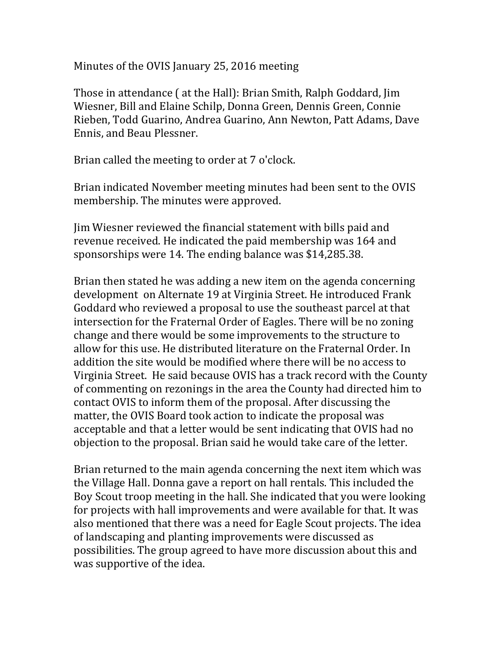Minutes of the OVIS January 25, 2016 meeting

Those in attendance ( at the Hall): Brian Smith, Ralph Goddard, Jim Wiesner, Bill and Elaine Schilp, Donna Green, Dennis Green, Connie Rieben, Todd Guarino, Andrea Guarino, Ann Newton, Patt Adams, Dave Ennis, and Beau Plessner.

Brian called the meeting to order at 7 o'clock.

Brian indicated November meeting minutes had been sent to the OVIS membership. The minutes were approved.

Jim Wiesner reviewed the financial statement with bills paid and revenue received. He indicated the paid membership was 164 and sponsorships were 14. The ending balance was \$14,285.38.

Brian then stated he was adding a new item on the agenda concerning development on Alternate 19 at Virginia Street. He introduced Frank Goddard who reviewed a proposal to use the southeast parcel at that intersection for the Fraternal Order of Eagles. There will be no zoning change and there would be some improvements to the structure to allow for this use. He distributed literature on the Fraternal Order. In addition the site would be modified where there will be no access to Virginia Street. He said because OVIS has a track record with the County of commenting on rezonings in the area the County had directed him to contact OVIS to inform them of the proposal. After discussing the matter, the OVIS Board took action to indicate the proposal was acceptable and that a letter would be sent indicating that OVIS had no objection to the proposal. Brian said he would take care of the letter.

Brian returned to the main agenda concerning the next item which was the Village Hall. Donna gave a report on hall rentals. This included the Boy Scout troop meeting in the hall. She indicated that you were looking for projects with hall improvements and were available for that. It was also mentioned that there was a need for Eagle Scout projects. The idea of landscaping and planting improvements were discussed as possibilities. The group agreed to have more discussion about this and was supportive of the idea.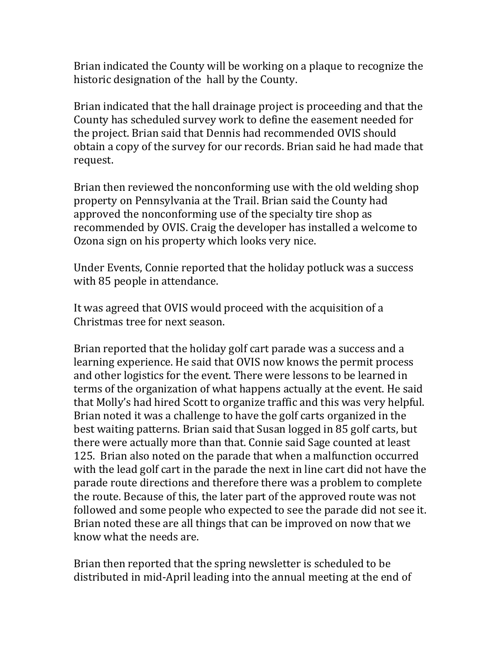Brian indicated the County will be working on a plaque to recognize the historic designation of the hall by the County.

Brian indicated that the hall drainage project is proceeding and that the County has scheduled survey work to define the easement needed for the project. Brian said that Dennis had recommended OVIS should obtain a copy of the survey for our records. Brian said he had made that request.

Brian then reviewed the nonconforming use with the old welding shop property on Pennsylvania at the Trail. Brian said the County had approved the nonconforming use of the specialty tire shop as recommended by OVIS. Craig the developer has installed a welcome to Ozona sign on his property which looks very nice.

Under Events, Connie reported that the holiday potluck was a success with 85 people in attendance.

It was agreed that OVIS would proceed with the acquisition of a Christmas tree for next season.

Brian reported that the holiday golf cart parade was a success and a learning experience. He said that OVIS now knows the permit process and other logistics for the event. There were lessons to be learned in terms of the organization of what happens actually at the event. He said that Molly's had hired Scott to organize traffic and this was very helpful. Brian noted it was a challenge to have the golf carts organized in the best waiting patterns. Brian said that Susan logged in 85 golf carts, but there were actually more than that. Connie said Sage counted at least 125. Brian also noted on the parade that when a malfunction occurred with the lead golf cart in the parade the next in line cart did not have the parade route directions and therefore there was a problem to complete the route. Because of this, the later part of the approved route was not followed and some people who expected to see the parade did not see it. Brian noted these are all things that can be improved on now that we know what the needs are.

Brian then reported that the spring newsletter is scheduled to be distributed in mid-April leading into the annual meeting at the end of